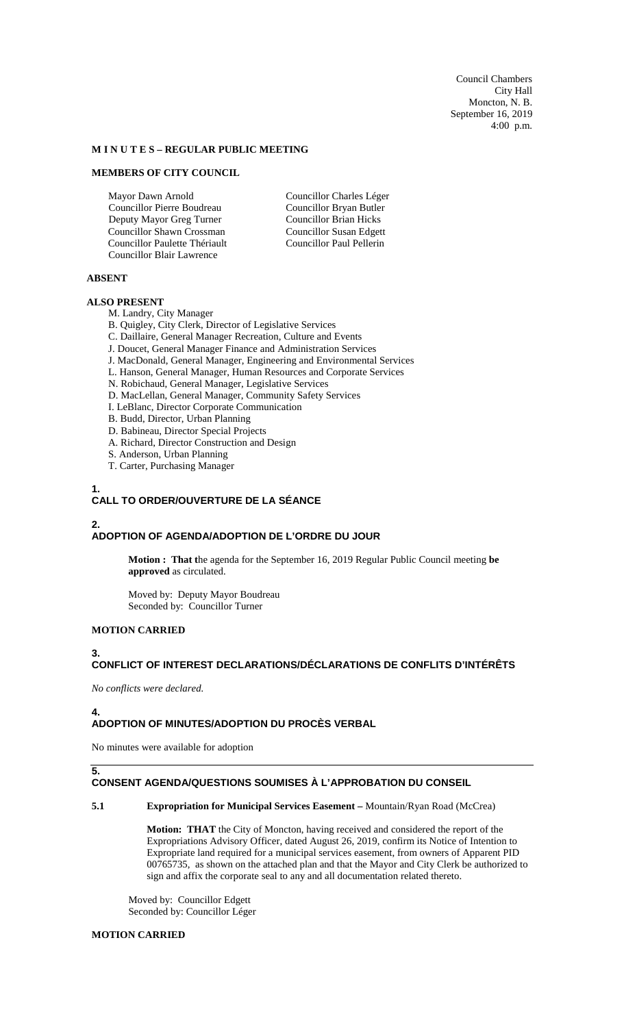Council Chambers City Hall Moncton, N. B. September 16, 2019 4:00 p.m.

#### **M I N U T E S – REGULAR PUBLIC MEETING**

#### **MEMBERS OF CITY COUNCIL**

Mayor Dawn Arnold Councillor Pierre Boudreau Deputy Mayor Greg Turner Councillor Shawn Crossman Councillor Paulette Thériault Councillor Blair Lawrence

Councillor Charles Léger Councillor Bryan Butler Councillor Brian Hicks Councillor Susan Edgett Councillor Paul Pellerin

#### **ABSENT**

### **ALSO PRESENT**

M. Landry, City Manager

- B. Quigley, City Clerk, Director of Legislative Services
- C. Daillaire, General Manager Recreation, Culture and Events
- J. Doucet, General Manager Finance and Administration Services
- J. MacDonald, General Manager, Engineering and Environmental Services
- L. Hanson, General Manager, Human Resources and Corporate Services
- N. Robichaud, General Manager, Legislative Services
- D. MacLellan, General Manager, Community Safety Services
- I. LeBlanc, Director Corporate Communication
- B. Budd, Director, Urban Planning
- D. Babineau, Director Special Projects
- A. Richard, Director Construction and Design
- S. Anderson, Urban Planning
- T. Carter, Purchasing Manager

# **1.**

# **CALL TO ORDER/OUVERTURE DE LA SÉANCE**

#### **2. ADOPTION OF AGENDA/ADOPTION DE L'ORDRE DU JOUR**

**Motion : That t**he agenda for the September 16, 2019 Regular Public Council meeting **be approved** as circulated.

Moved by: Deputy Mayor Boudreau Seconded by: Councillor Turner

### **MOTION CARRIED**

# **3.**

### **CONFLICT OF INTEREST DECLARATIONS/DÉCLARATIONS DE CONFLITS D'INTÉRÊTS**

*No conflicts were declared.*

### **4.**

### **ADOPTION OF MINUTES/ADOPTION DU PROCÈS VERBAL**

No minutes were available for adoption

### **5. CONSENT AGENDA/QUESTIONS SOUMISES À L'APPROBATION DU CONSEIL**

#### **5.1 Expropriation for Municipal Services Easement –** Mountain/Ryan Road (McCrea)

**Motion: THAT** the City of Moncton, having received and considered the report of the Expropriations Advisory Officer, dated August 26, 2019, confirm its Notice of Intention to Expropriate land required for a municipal services easement, from owners of Apparent PID 00765735, as shown on the attached plan and that the Mayor and City Clerk be authorized to sign and affix the corporate seal to any and all documentation related thereto.

Moved by: Councillor Edgett Seconded by: Councillor Léger

### **MOTION CARRIED**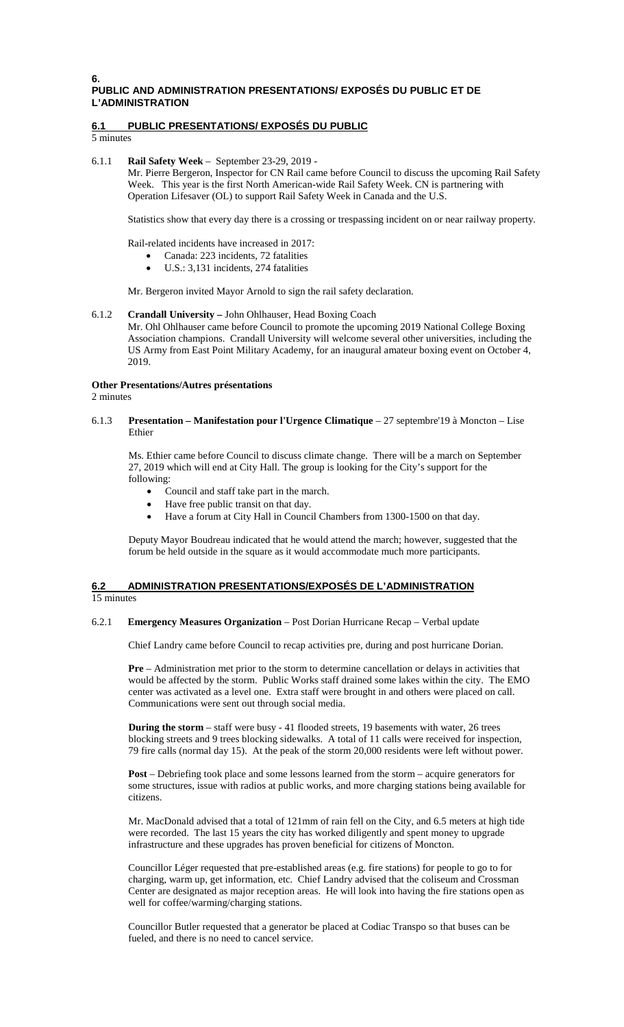#### **6. PUBLIC AND ADMINISTRATION PRESENTATIONS/ EXPOSÉS DU PUBLIC ET DE L'ADMINISTRATION**

### **6.1 PUBLIC PRESENTATIONS/ EXPOSÉS DU PUBLIC**

5 minutes

#### 6.1.1 **Rail Safety Week** – September 23-29, 2019 -

Mr. Pierre Bergeron, Inspector for CN Rail came before Council to discuss the upcoming Rail Safety Week. This year is the first North American-wide Rail Safety Week. CN is partnering with Operation Lifesaver (OL) to support Rail Safety Week in Canada and the U.S.

Statistics show that every day there is a crossing or trespassing incident on or near railway property.

Rail-related incidents have increased in 2017:

- Canada: 223 incidents, 72 fatalities
- U.S.: 3,131 incidents, 274 fatalities

Mr. Bergeron invited Mayor Arnold to sign the rail safety declaration.

#### 6.1.2 **Crandall University –** John Ohlhauser, Head Boxing Coach

Mr. Ohl Ohlhauser came before Council to promote the upcoming 2019 National College Boxing Association champions. Crandall University will welcome several other universities, including the US Army from East Point Military Academy, for an inaugural amateur boxing event on October 4, 2019.

# **Other Presentations/Autres présentations**

2 minutes

6.1.3 **Presentation – Manifestation pour l'Urgence Climatique** – 27 septembre'19 à Moncton – Lise Ethier

Ms. Ethier came before Council to discuss climate change. There will be a march on September 27, 2019 which will end at City Hall. The group is looking for the City's support for the following:

- Council and staff take part in the march.
- Have free public transit on that day.
- Have a forum at City Hall in Council Chambers from 1300-1500 on that day.

Deputy Mayor Boudreau indicated that he would attend the march; however, suggested that the forum be held outside in the square as it would accommodate much more participants.

#### **6.2 ADMINISTRATION PRESENTATIONS/EXPOSÉS DE L'ADMINISTRATION**  15 minutes

#### 6.2.1 **Emergency Measures Organization** – Post Dorian Hurricane Recap – Verbal update

Chief Landry came before Council to recap activities pre, during and post hurricane Dorian.

**Pre** – Administration met prior to the storm to determine cancellation or delays in activities that would be affected by the storm. Public Works staff drained some lakes within the city. The EMO center was activated as a level one. Extra staff were brought in and others were placed on call. Communications were sent out through social media.

**During the storm** – staff were busy - 41 flooded streets, 19 basements with water, 26 trees blocking streets and 9 trees blocking sidewalks. A total of 11 calls were received for inspection, 79 fire calls (normal day 15). At the peak of the storm 20,000 residents were left without power.

**Post** – Debriefing took place and some lessons learned from the storm – acquire generators for some structures, issue with radios at public works, and more charging stations being available for citizens.

Mr. MacDonald advised that a total of 121mm of rain fell on the City, and 6.5 meters at high tide were recorded. The last 15 years the city has worked diligently and spent money to upgrade infrastructure and these upgrades has proven beneficial for citizens of Moncton.

Councillor Léger requested that pre-established areas (e.g. fire stations) for people to go to for charging, warm up, get information, etc. Chief Landry advised that the coliseum and Crossman Center are designated as major reception areas. He will look into having the fire stations open as well for coffee/warming/charging stations.

Councillor Butler requested that a generator be placed at Codiac Transpo so that buses can be fueled, and there is no need to cancel service.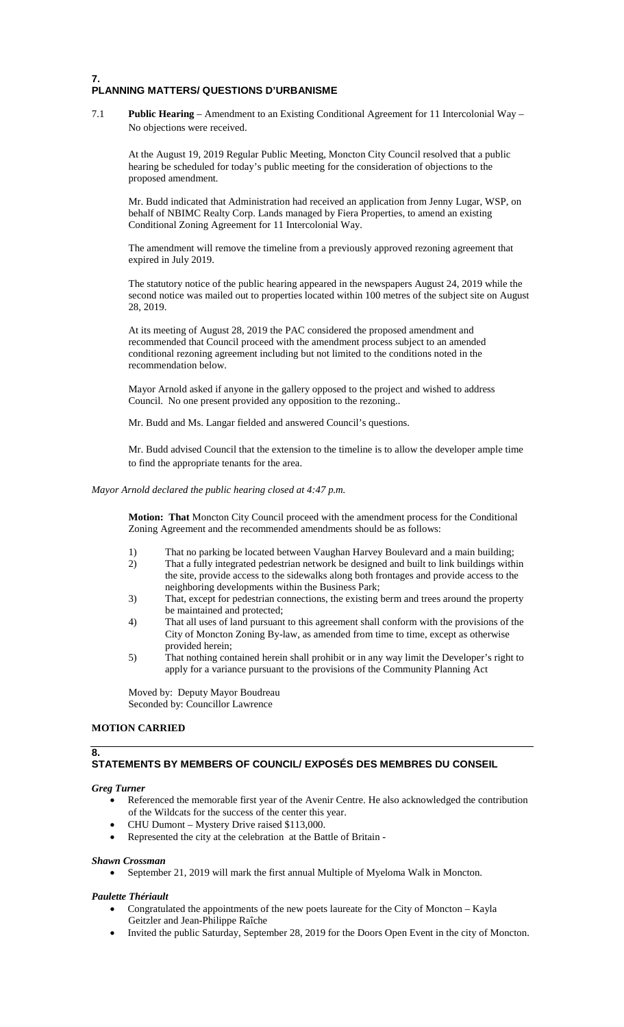## **7. PLANNING MATTERS/ QUESTIONS D'URBANISME**

7.1 **Public Hearing** – Amendment to an Existing Conditional Agreement for 11 Intercolonial Way – No objections were received.

At the August 19, 2019 Regular Public Meeting, Moncton City Council resolved that a public hearing be scheduled for today's public meeting for the consideration of objections to the proposed amendment.

Mr. Budd indicated that Administration had received an application from Jenny Lugar, WSP, on behalf of NBIMC Realty Corp. Lands managed by Fiera Properties, to amend an existing Conditional Zoning Agreement for 11 Intercolonial Way.

The amendment will remove the timeline from a previously approved rezoning agreement that expired in July 2019.

The statutory notice of the public hearing appeared in the newspapers August 24, 2019 while the second notice was mailed out to properties located within 100 metres of the subject site on August 28, 2019.

At its meeting of August 28, 2019 the PAC considered the proposed amendment and recommended that Council proceed with the amendment process subject to an amended conditional rezoning agreement including but not limited to the conditions noted in the recommendation below.

Mayor Arnold asked if anyone in the gallery opposed to the project and wished to address Council. No one present provided any opposition to the rezoning..

Mr. Budd and Ms. Langar fielded and answered Council's questions.

Mr. Budd advised Council that the extension to the timeline is to allow the developer ample time to find the appropriate tenants for the area.

#### *Mayor Arnold declared the public hearing closed at 4:47 p.m.*

**Motion: That** Moncton City Council proceed with the amendment process for the Conditional Zoning Agreement and the recommended amendments should be as follows:

- 1) That no parking be located between Vaughan Harvey Boulevard and a main building;
- 2) That a fully integrated pedestrian network be designed and built to link buildings within the site, provide access to the sidewalks along both frontages and provide access to the neighboring developments within the Business Park;
- 3) That, except for pedestrian connections, the existing berm and trees around the property be maintained and protected;
- 4) That all uses of land pursuant to this agreement shall conform with the provisions of the City of Moncton Zoning By-law, as amended from time to time, except as otherwise provided herein;
- 5) That nothing contained herein shall prohibit or in any way limit the Developer's right to apply for a variance pursuant to the provisions of the Community Planning Act

Moved by: Deputy Mayor Boudreau Seconded by: Councillor Lawrence

#### **MOTION CARRIED**

### **8. STATEMENTS BY MEMBERS OF COUNCIL/ EXPOSÉS DES MEMBRES DU CONSEIL**

#### *Greg Turner*

- Referenced the memorable first year of the Avenir Centre. He also acknowledged the contribution of the Wildcats for the success of the center this year.
- CHU Dumont Mystery Drive raised \$113,000.
- Represented the city at the celebration at the Battle of Britain -

### *Shawn Crossman*

• September 21, 2019 will mark the first annual Multiple of Myeloma Walk in Moncton.

#### *Paulette Thériault*

- Congratulated the appointments of the new poets laureate for the City of Moncton Kayla Geitzler and Jean-Philippe Raîche
- Invited the public Saturday, September 28, 2019 for the Doors Open Event in the city of Moncton.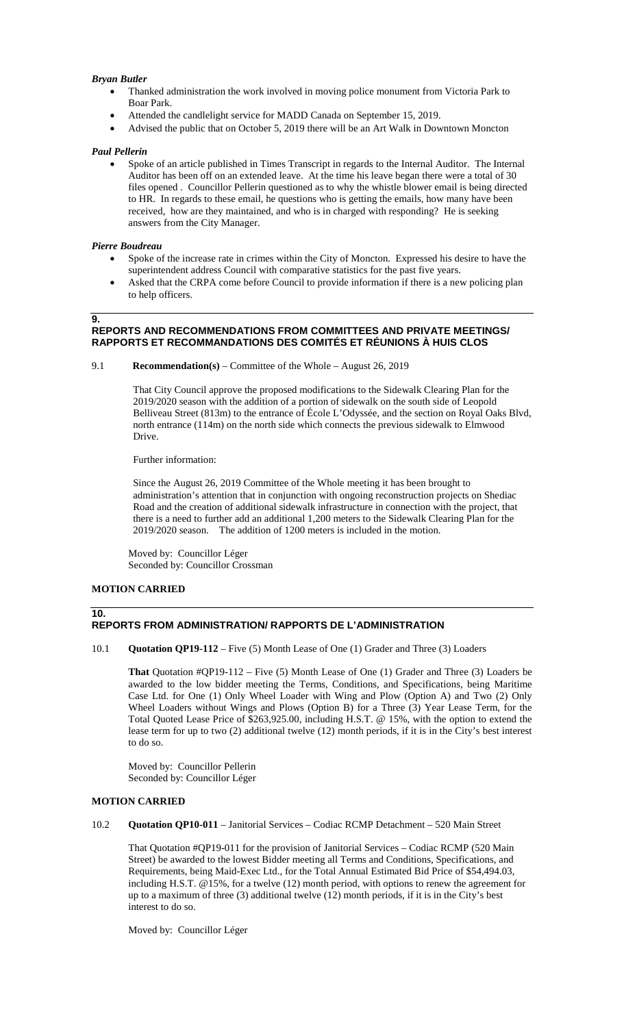#### *Bryan Butler*

- Thanked administration the work involved in moving police monument from Victoria Park to Boar Park.
- Attended the candlelight service for MADD Canada on September 15, 2019.
- Advised the public that on October 5, 2019 there will be an Art Walk in Downtown Moncton

#### *Paul Pellerin*

• Spoke of an article published in Times Transcript in regards to the Internal Auditor. The Internal Auditor has been off on an extended leave. At the time his leave began there were a total of 30 files opened . Councillor Pellerin questioned as to why the whistle blower email is being directed to HR. In regards to these email, he questions who is getting the emails, how many have been received, how are they maintained, and who is in charged with responding? He is seeking answers from the City Manager.

#### *Pierre Boudreau*

**9.**

- Spoke of the increase rate in crimes within the City of Moncton. Expressed his desire to have the superintendent address Council with comparative statistics for the past five years.
- Asked that the CRPA come before Council to provide information if there is a new policing plan to help officers.

### **REPORTS AND RECOMMENDATIONS FROM COMMITTEES AND PRIVATE MEETINGS/ RAPPORTS ET RECOMMANDATIONS DES COMITÉS ET RÉUNIONS À HUIS CLOS**

9.1 **Recommendation(s)** – Committee of the Whole – August 26, 2019

That City Council approve the proposed modifications to the Sidewalk Clearing Plan for the 2019/2020 season with the addition of a portion of sidewalk on the south side of Leopold Belliveau Street (813m) to the entrance of École L'Odyssée, and the section on Royal Oaks Blvd, north entrance (114m) on the north side which connects the previous sidewalk to Elmwood Drive.

Further information:

Since the August 26, 2019 Committee of the Whole meeting it has been brought to administration's attention that in conjunction with ongoing reconstruction projects on Shediac Road and the creation of additional sidewalk infrastructure in connection with the project, that there is a need to further add an additional 1,200 meters to the Sidewalk Clearing Plan for the 2019/2020 season. The addition of 1200 meters is included in the motion.

Moved by: Councillor Léger Seconded by: Councillor Crossman

### **MOTION CARRIED**

**10.**

### **REPORTS FROM ADMINISTRATION/ RAPPORTS DE L'ADMINISTRATION**

10.1 **Quotation QP19-112** – Five (5) Month Lease of One (1) Grader and Three (3) Loaders

**That** Quotation #QP19-112 – Five (5) Month Lease of One (1) Grader and Three (3) Loaders be awarded to the low bidder meeting the Terms, Conditions, and Specifications, being Maritime Case Ltd. for One (1) Only Wheel Loader with Wing and Plow (Option A) and Two (2) Only Wheel Loaders without Wings and Plows (Option B) for a Three (3) Year Lease Term, for the Total Quoted Lease Price of \$263,925.00, including H.S.T. @ 15%, with the option to extend the lease term for up to two (2) additional twelve (12) month periods, if it is in the City's best interest to do so.

Moved by: Councillor Pellerin Seconded by: Councillor Léger

### **MOTION CARRIED**

10.2 **Quotation QP10-011** – Janitorial Services – Codiac RCMP Detachment – 520 Main Street

That Quotation #QP19-011 for the provision of Janitorial Services – Codiac RCMP (520 Main Street) be awarded to the lowest Bidder meeting all Terms and Conditions, Specifications, and Requirements, being Maid-Exec Ltd., for the Total Annual Estimated Bid Price of \$54,494.03, including H.S.T. @15%, for a twelve (12) month period, with options to renew the agreement for up to a maximum of three (3) additional twelve (12) month periods, if it is in the City's best interest to do so.

Moved by: Councillor Léger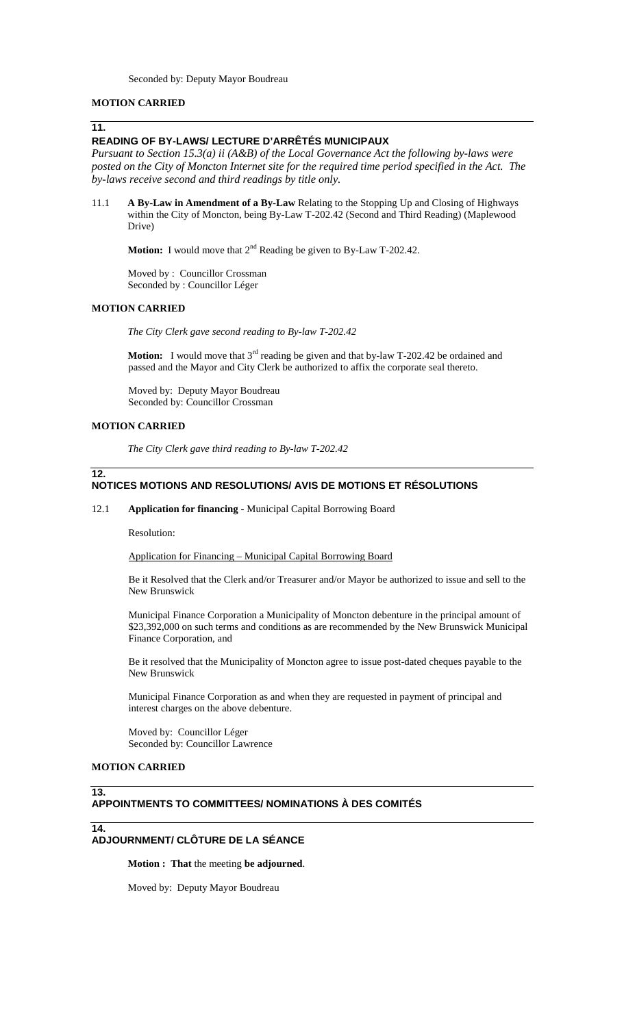### **MOTION CARRIED**

### **11.**

### **READING OF BY-LAWS/ LECTURE D'ARRÊTÉS MUNICIPAUX**

*Pursuant to Section 15.3(a) ii (A&B) of the Local Governance Act the following by-laws were*  posted on the City of Moncton Internet site for the required time period specified in the Act. The *by-laws receive second and third readings by title only.*

11.1 **A By-Law in Amendment of a By-Law** Relating to the Stopping Up and Closing of Highways within the City of Moncton, being By-Law T-202.42 (Second and Third Reading) (Maplewood Drive)

**Motion:** I would move that 2<sup>nd</sup> Reading be given to By-Law T-202.42.

Moved by : Councillor Crossman Seconded by : Councillor Léger

### **MOTION CARRIED**

*The City Clerk gave second reading to By-law T-202.42*

**Motion:** I would move that 3<sup>rd</sup> reading be given and that by-law T-202.42 be ordained and passed and the Mayor and City Clerk be authorized to affix the corporate seal thereto.

Moved by: Deputy Mayor Boudreau Seconded by: Councillor Crossman

### **MOTION CARRIED**

**12.**

*The City Clerk gave third reading to By-law T-202.42*

#### **NOTICES MOTIONS AND RESOLUTIONS/ AVIS DE MOTIONS ET RÉSOLUTIONS**

#### 12.1 **Application for financing** - Municipal Capital Borrowing Board

Resolution:

Application for Financing – Municipal Capital Borrowing Board

Be it Resolved that the Clerk and/or Treasurer and/or Mayor be authorized to issue and sell to the New Brunswick

Municipal Finance Corporation a Municipality of Moncton debenture in the principal amount of \$23,392,000 on such terms and conditions as are recommended by the New Brunswick Municipal Finance Corporation, and

Be it resolved that the Municipality of Moncton agree to issue post-dated cheques payable to the New Brunswick

Municipal Finance Corporation as and when they are requested in payment of principal and interest charges on the above debenture.

Moved by: Councillor Léger Seconded by: Councillor Lawrence

#### **MOTION CARRIED**

### **13.**

### **APPOINTMENTS TO COMMITTEES/ NOMINATIONS À DES COMITÉS**

**14.**

### **ADJOURNMENT/ CLÔTURE DE LA SÉANCE**

**Motion : That** the meeting **be adjourned**.

Moved by: Deputy Mayor Boudreau